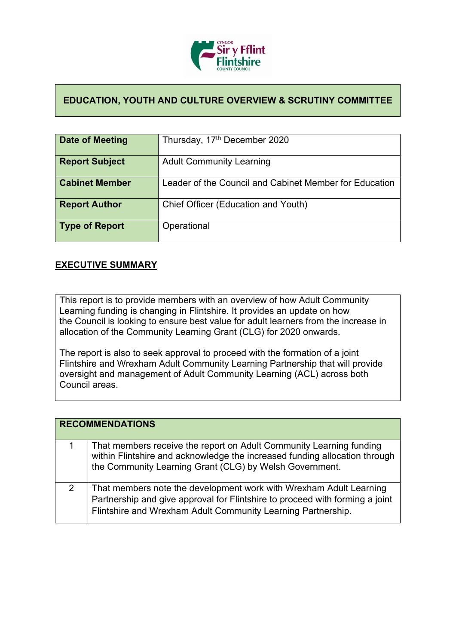

## **EDUCATION, YOUTH AND CULTURE OVERVIEW & SCRUTINY COMMITTEE**

| Date of Meeting       | Thursday, 17 <sup>th</sup> December 2020               |
|-----------------------|--------------------------------------------------------|
| <b>Report Subject</b> | <b>Adult Community Learning</b>                        |
| <b>Cabinet Member</b> | Leader of the Council and Cabinet Member for Education |
| <b>Report Author</b>  | Chief Officer (Education and Youth)                    |
| Type of Report        | Operational                                            |

## **EXECUTIVE SUMMARY**

This report is to provide members with an overview of how Adult Community Learning funding is changing in Flintshire. It provides an update on how the Council is looking to ensure best value for adult learners from the increase in allocation of the Community Learning Grant (CLG) for 2020 onwards.

The report is also to seek approval to proceed with the formation of a joint Flintshire and Wrexham Adult Community Learning Partnership that will provide oversight and management of Adult Community Learning (ACL) across both Council areas.

|   | <b>RECOMMENDATIONS</b>                                                                                                                                                                                             |
|---|--------------------------------------------------------------------------------------------------------------------------------------------------------------------------------------------------------------------|
| 1 | That members receive the report on Adult Community Learning funding<br>within Flintshire and acknowledge the increased funding allocation through<br>the Community Learning Grant (CLG) by Welsh Government.       |
| 2 | That members note the development work with Wrexham Adult Learning<br>Partnership and give approval for Flintshire to proceed with forming a joint<br>Flintshire and Wrexham Adult Community Learning Partnership. |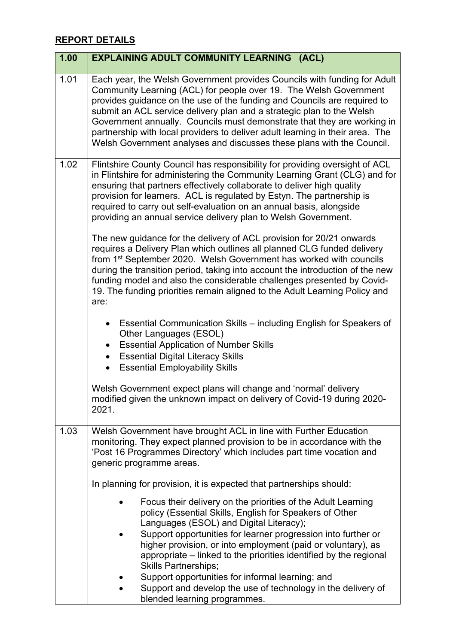## **REPORT DETAILS**

| 1.00 | <b>EXPLAINING ADULT COMMUNITY LEARNING (ACL)</b>                                                                                                                                                                                                                                                                                                                                                                                                                                                                                                                                                                                                                                                                                                                                                                                                                                                                                            |
|------|---------------------------------------------------------------------------------------------------------------------------------------------------------------------------------------------------------------------------------------------------------------------------------------------------------------------------------------------------------------------------------------------------------------------------------------------------------------------------------------------------------------------------------------------------------------------------------------------------------------------------------------------------------------------------------------------------------------------------------------------------------------------------------------------------------------------------------------------------------------------------------------------------------------------------------------------|
| 1.01 | Each year, the Welsh Government provides Councils with funding for Adult<br>Community Learning (ACL) for people over 19. The Welsh Government<br>provides guidance on the use of the funding and Councils are required to<br>submit an ACL service delivery plan and a strategic plan to the Welsh<br>Government annually. Councils must demonstrate that they are working in<br>partnership with local providers to deliver adult learning in their area. The<br>Welsh Government analyses and discusses these plans with the Council.                                                                                                                                                                                                                                                                                                                                                                                                     |
| 1.02 | Flintshire County Council has responsibility for providing oversight of ACL<br>in Flintshire for administering the Community Learning Grant (CLG) and for<br>ensuring that partners effectively collaborate to deliver high quality<br>provision for learners. ACL is regulated by Estyn. The partnership is<br>required to carry out self-evaluation on an annual basis, alongside<br>providing an annual service delivery plan to Welsh Government.<br>The new guidance for the delivery of ACL provision for 20/21 onwards<br>requires a Delivery Plan which outlines all planned CLG funded delivery<br>from 1 <sup>st</sup> September 2020. Welsh Government has worked with councils<br>during the transition period, taking into account the introduction of the new<br>funding model and also the considerable challenges presented by Covid-<br>19. The funding priorities remain aligned to the Adult Learning Policy and<br>are: |
|      | • Essential Communication Skills – including English for Speakers of<br>Other Languages (ESOL)<br><b>Essential Application of Number Skills</b><br><b>Essential Digital Literacy Skills</b><br>• Essential Employability Skills<br>Welsh Government expect plans will change and 'normal' delivery<br>modified given the unknown impact on delivery of Covid-19 during 2020-<br>2021.                                                                                                                                                                                                                                                                                                                                                                                                                                                                                                                                                       |
| 1.03 | Welsh Government have brought ACL in line with Further Education<br>monitoring. They expect planned provision to be in accordance with the<br>'Post 16 Programmes Directory' which includes part time vocation and<br>generic programme areas.                                                                                                                                                                                                                                                                                                                                                                                                                                                                                                                                                                                                                                                                                              |
|      | In planning for provision, it is expected that partnerships should:                                                                                                                                                                                                                                                                                                                                                                                                                                                                                                                                                                                                                                                                                                                                                                                                                                                                         |
|      | Focus their delivery on the priorities of the Adult Learning<br>policy (Essential Skills, English for Speakers of Other<br>Languages (ESOL) and Digital Literacy);<br>Support opportunities for learner progression into further or<br>higher provision, or into employment (paid or voluntary), as<br>appropriate – linked to the priorities identified by the regional<br><b>Skills Partnerships;</b><br>Support opportunities for informal learning; and<br>Support and develop the use of technology in the delivery of<br>blended learning programmes.                                                                                                                                                                                                                                                                                                                                                                                 |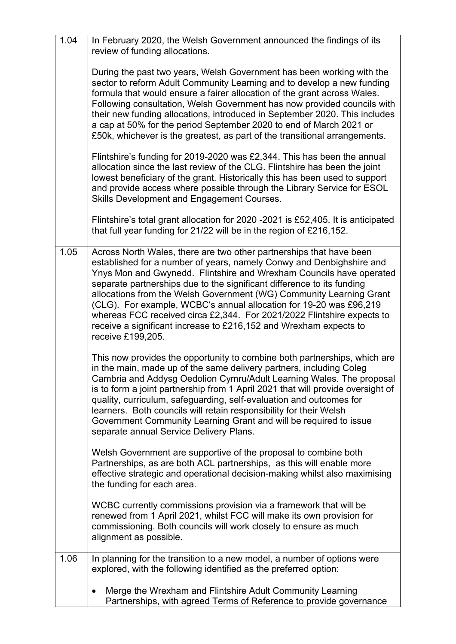| 1.04 | In February 2020, the Welsh Government announced the findings of its<br>review of funding allocations.                                                                                                                                                                                                                                                                                                                                                                                                                                                                                                        |
|------|---------------------------------------------------------------------------------------------------------------------------------------------------------------------------------------------------------------------------------------------------------------------------------------------------------------------------------------------------------------------------------------------------------------------------------------------------------------------------------------------------------------------------------------------------------------------------------------------------------------|
|      | During the past two years, Welsh Government has been working with the<br>sector to reform Adult Community Learning and to develop a new funding<br>formula that would ensure a fairer allocation of the grant across Wales.<br>Following consultation, Welsh Government has now provided councils with<br>their new funding allocations, introduced in September 2020. This includes<br>a cap at 50% for the period September 2020 to end of March 2021 or<br>£50k, whichever is the greatest, as part of the transitional arrangements.                                                                      |
|      | Flintshire's funding for 2019-2020 was £2,344. This has been the annual<br>allocation since the last review of the CLG. Flintshire has been the joint<br>lowest beneficiary of the grant. Historically this has been used to support<br>and provide access where possible through the Library Service for ESOL<br>Skills Development and Engagement Courses.                                                                                                                                                                                                                                                  |
|      | Flintshire's total grant allocation for 2020 -2021 is £52,405. It is anticipated<br>that full year funding for 21/22 will be in the region of £216,152.                                                                                                                                                                                                                                                                                                                                                                                                                                                       |
| 1.05 | Across North Wales, there are two other partnerships that have been<br>established for a number of years, namely Conwy and Denbighshire and<br>Ynys Mon and Gwynedd. Flintshire and Wrexham Councils have operated<br>separate partnerships due to the significant difference to its funding<br>allocations from the Welsh Government (WG) Community Learning Grant<br>(CLG). For example, WCBC's annual allocation for 19-20 was £96,219<br>whereas FCC received circa £2,344. For 2021/2022 Flintshire expects to<br>receive a significant increase to £216,152 and Wrexham expects to<br>receive £199,205. |
|      | This now provides the opportunity to combine both partnerships, which are<br>in the main, made up of the same delivery partners, including Coleg<br>Cambria and Addysg Oedolion Cymru/Adult Learning Wales. The proposal<br>is to form a joint partnership from 1 April 2021 that will provide oversight of<br>quality, curriculum, safeguarding, self-evaluation and outcomes for<br>learners. Both councils will retain responsibility for their Welsh<br>Government Community Learning Grant and will be required to issue<br>separate annual Service Delivery Plans.                                      |
|      | Welsh Government are supportive of the proposal to combine both<br>Partnerships, as are both ACL partnerships, as this will enable more<br>effective strategic and operational decision-making whilst also maximising<br>the funding for each area.                                                                                                                                                                                                                                                                                                                                                           |
|      | WCBC currently commissions provision via a framework that will be<br>renewed from 1 April 2021, whilst FCC will make its own provision for<br>commissioning. Both councils will work closely to ensure as much<br>alignment as possible.                                                                                                                                                                                                                                                                                                                                                                      |
| 1.06 | In planning for the transition to a new model, a number of options were<br>explored, with the following identified as the preferred option:                                                                                                                                                                                                                                                                                                                                                                                                                                                                   |
|      | Merge the Wrexham and Flintshire Adult Community Learning<br>$\bullet$<br>Partnerships, with agreed Terms of Reference to provide governance                                                                                                                                                                                                                                                                                                                                                                                                                                                                  |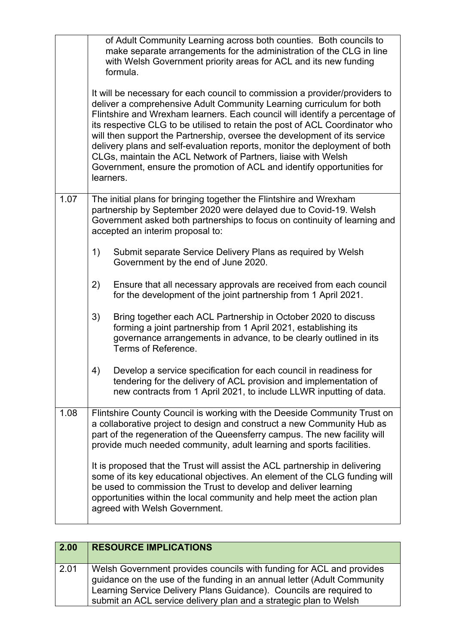|      |    | of Adult Community Learning across both counties. Both councils to<br>make separate arrangements for the administration of the CLG in line<br>with Welsh Government priority areas for ACL and its new funding<br>formula.<br>It will be necessary for each council to commission a provider/providers to<br>deliver a comprehensive Adult Community Learning curriculum for both<br>Flintshire and Wrexham learners. Each council will identify a percentage of<br>its respective CLG to be utilised to retain the post of ACL Coordinator who<br>will then support the Partnership, oversee the development of its service<br>delivery plans and self-evaluation reports, monitor the deployment of both<br>CLGs, maintain the ACL Network of Partners, liaise with Welsh<br>Government, ensure the promotion of ACL and identify opportunities for |
|------|----|-------------------------------------------------------------------------------------------------------------------------------------------------------------------------------------------------------------------------------------------------------------------------------------------------------------------------------------------------------------------------------------------------------------------------------------------------------------------------------------------------------------------------------------------------------------------------------------------------------------------------------------------------------------------------------------------------------------------------------------------------------------------------------------------------------------------------------------------------------|
|      |    | learners.                                                                                                                                                                                                                                                                                                                                                                                                                                                                                                                                                                                                                                                                                                                                                                                                                                             |
| 1.07 |    | The initial plans for bringing together the Flintshire and Wrexham<br>partnership by September 2020 were delayed due to Covid-19. Welsh<br>Government asked both partnerships to focus on continuity of learning and<br>accepted an interim proposal to:                                                                                                                                                                                                                                                                                                                                                                                                                                                                                                                                                                                              |
|      | 1) | Submit separate Service Delivery Plans as required by Welsh<br>Government by the end of June 2020.                                                                                                                                                                                                                                                                                                                                                                                                                                                                                                                                                                                                                                                                                                                                                    |
|      | 2) | Ensure that all necessary approvals are received from each council<br>for the development of the joint partnership from 1 April 2021.                                                                                                                                                                                                                                                                                                                                                                                                                                                                                                                                                                                                                                                                                                                 |
|      | 3) | Bring together each ACL Partnership in October 2020 to discuss<br>forming a joint partnership from 1 April 2021, establishing its<br>governance arrangements in advance, to be clearly outlined in its<br>Terms of Reference.                                                                                                                                                                                                                                                                                                                                                                                                                                                                                                                                                                                                                         |
|      | 4) | Develop a service specification for each council in readiness for<br>tendering for the delivery of ACL provision and implementation of<br>new contracts from 1 April 2021, to include LLWR inputting of data.                                                                                                                                                                                                                                                                                                                                                                                                                                                                                                                                                                                                                                         |
| 1.08 |    | Flintshire County Council is working with the Deeside Community Trust on<br>a collaborative project to design and construct a new Community Hub as<br>part of the regeneration of the Queensferry campus. The new facility will<br>provide much needed community, adult learning and sports facilities.                                                                                                                                                                                                                                                                                                                                                                                                                                                                                                                                               |
|      |    | It is proposed that the Trust will assist the ACL partnership in delivering<br>some of its key educational objectives. An element of the CLG funding will<br>be used to commission the Trust to develop and deliver learning<br>opportunities within the local community and help meet the action plan<br>agreed with Welsh Government.                                                                                                                                                                                                                                                                                                                                                                                                                                                                                                               |

| $\boxed{2.00}$ | <b>RESOURCE IMPLICATIONS</b>                                                                                                                                                                                                                                                                |
|----------------|---------------------------------------------------------------------------------------------------------------------------------------------------------------------------------------------------------------------------------------------------------------------------------------------|
| 2.01           | Welsh Government provides councils with funding for ACL and provides<br>guidance on the use of the funding in an annual letter (Adult Community<br>Learning Service Delivery Plans Guidance). Councils are required to<br>submit an ACL service delivery plan and a strategic plan to Welsh |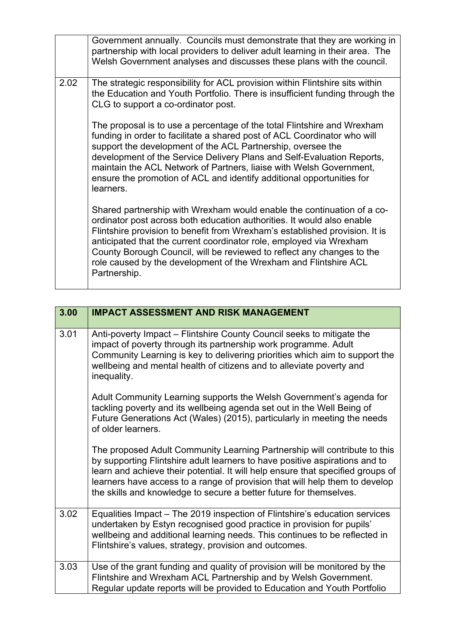|      | Government annually. Councils must demonstrate that they are working in<br>partnership with local providers to deliver adult learning in their area. The<br>Welsh Government analyses and discusses these plans with the council.                                                                                                                                                                                                                                    |
|------|----------------------------------------------------------------------------------------------------------------------------------------------------------------------------------------------------------------------------------------------------------------------------------------------------------------------------------------------------------------------------------------------------------------------------------------------------------------------|
| 2.02 | The strategic responsibility for ACL provision within Flintshire sits within<br>the Education and Youth Portfolio. There is insufficient funding through the<br>CLG to support a co-ordinator post.                                                                                                                                                                                                                                                                  |
|      | The proposal is to use a percentage of the total Flintshire and Wrexham<br>funding in order to facilitate a shared post of ACL Coordinator who will<br>support the development of the ACL Partnership, oversee the<br>development of the Service Delivery Plans and Self-Evaluation Reports,<br>maintain the ACL Network of Partners, liaise with Welsh Government,<br>ensure the promotion of ACL and identify additional opportunities for<br>learners.            |
|      | Shared partnership with Wrexham would enable the continuation of a co-<br>ordinator post across both education authorities. It would also enable<br>Flintshire provision to benefit from Wrexham's established provision. It is<br>anticipated that the current coordinator role, employed via Wrexham<br>County Borough Council, will be reviewed to reflect any changes to the<br>role caused by the development of the Wrexham and Flintshire ACL<br>Partnership. |

| 3.00 | <b>IMPACT ASSESSMENT AND RISK MANAGEMENT</b>                                                                                                                                                                                                                                                                                                                                                     |
|------|--------------------------------------------------------------------------------------------------------------------------------------------------------------------------------------------------------------------------------------------------------------------------------------------------------------------------------------------------------------------------------------------------|
|      |                                                                                                                                                                                                                                                                                                                                                                                                  |
| 3.01 | Anti-poverty Impact - Flintshire County Council seeks to mitigate the<br>impact of poverty through its partnership work programme. Adult<br>Community Learning is key to delivering priorities which aim to support the<br>wellbeing and mental health of citizens and to alleviate poverty and<br>inequality.                                                                                   |
|      | Adult Community Learning supports the Welsh Government's agenda for<br>tackling poverty and its wellbeing agenda set out in the Well Being of<br>Future Generations Act (Wales) (2015), particularly in meeting the needs<br>of older learners.                                                                                                                                                  |
|      | The proposed Adult Community Learning Partnership will contribute to this<br>by supporting Flintshire adult learners to have positive aspirations and to<br>learn and achieve their potential. It will help ensure that specified groups of<br>learners have access to a range of provision that will help them to develop<br>the skills and knowledge to secure a better future for themselves. |
| 3.02 | Equalities Impact – The 2019 inspection of Flintshire's education services<br>undertaken by Estyn recognised good practice in provision for pupils'<br>wellbeing and additional learning needs. This continues to be reflected in<br>Flintshire's values, strategy, provision and outcomes.                                                                                                      |
| 3.03 | Use of the grant funding and quality of provision will be monitored by the<br>Flintshire and Wrexham ACL Partnership and by Welsh Government.<br>Regular update reports will be provided to Education and Youth Portfolio                                                                                                                                                                        |